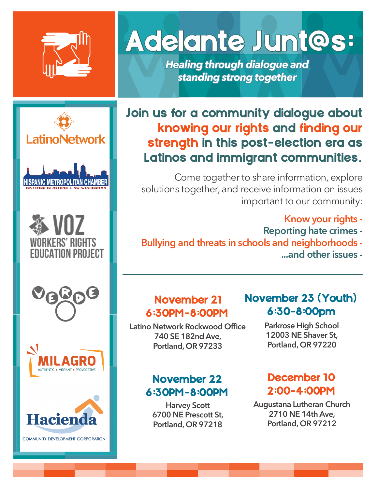

**LatinoNetwork** 

**HISPANIC METROPOLITAN CHAMBER** 

多 VOZ

**WORKERS' RIGHTS** *EDUCATION PROJECT* 

## Adelante Junt@s:

*Healing through dialogue and standing strong together*

### Join us for a community dialogue about knowing our rights and finding our strength in this post-election era as Latinos and immigrant communities.

Come together to share information, explore solutions together, and receive information on issues important to our community:

- **Know your rights -**
- **Reporting hate crimes**
- **Bullying and threats in schools and neighborhoods ...and other issues -**





November 21 6:30PM-8:00PM

**Latino Network Rockwood Office 740 SE 182nd Ave, Portland, OR 97233**

### November 22 6:30PM-8:00PM

**Harvey Scott 6700 NE Prescott St, Portland, OR 97218**

### November 23 (Youth) 6:30-8:00pm

**Parkrose High School 12003 NE Shaver St, Portland, OR 97220**

### December 10 2:00-4:00PM

**Augustana Lutheran Church 2710 NE 14th Ave, Portland, OR 97212**